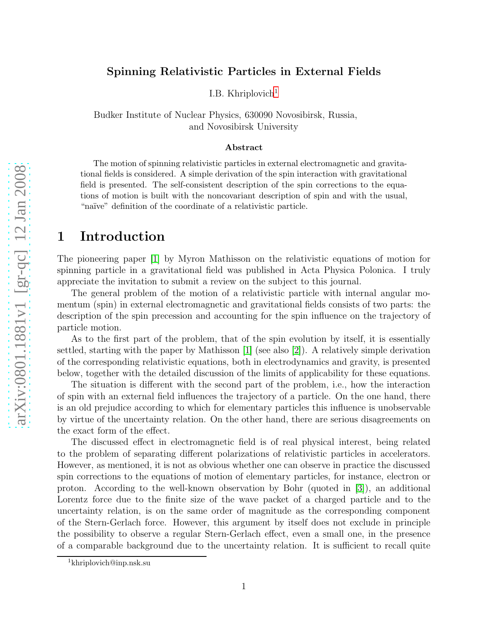### Spinning Relativistic Particles in External Fields

I.B. Khriplovich [1](#page-0-0)

Budker Institute of Nuclear Physics, 630090 Novosibirsk, Russia, and Novosibirsk University

#### Abstract

The motion of spinning relativistic particles in external electromagnetic and gravitational fields is considered. A simple derivation of the spin interaction with gravitational field is presented. The self-consistent description of the spin corrections to the equations of motion is built with the noncovariant description of spin and with the usual, "naïve" definition of the coordinate of a relativistic particle.

## 1 Introduction

The pioneering paper [\[1\]](#page-14-0) by Myron Mathisson on the relativistic equations of motion for spinning particle in a gravitational field was published in Acta Physica Polonica. I truly appreciate the invitation to submit a review on the subject to this journal.

The general problem of the motion of a relativistic particle with internal angular momentum (spin) in external electromagnetic and gravitational fields consists of two parts: the description of the spin precession and accounting for the spin influence on the trajectory of particle motion.

As to the first part of the problem, that of the spin evolution by itself, it is essentially settled, starting with the paper by Mathisson [\[1\]](#page-14-0) (see also [\[2\]](#page-14-1)). A relatively simple derivation of the corresponding relativistic equations, both in electrodynamics and gravity, is presented below, together with the detailed discussion of the limits of applicability for these equations.

The situation is different with the second part of the problem, i.e., how the interaction of spin with an external field influences the trajectory of a particle. On the one hand, there is an old prejudice according to which for elementary particles this influence is unobservable by virtue of the uncertainty relation. On the other hand, there are serious disagreements on the exact form of the effect.

The discussed effect in electromagnetic field is of real physical interest, being related to the problem of separating different polarizations of relativistic particles in accelerators. However, as mentioned, it is not as obvious whether one can observe in practice the discussed spin corrections to the equations of motion of elementary particles, for instance, electron or proton. According to the well-known observation by Bohr (quoted in [\[3\]](#page-14-2)), an additional Lorentz force due to the finite size of the wave packet of a charged particle and to the uncertainty relation, is on the same order of magnitude as the corresponding component of the Stern-Gerlach force. However, this argument by itself does not exclude in principle the possibility to observe a regular Stern-Gerlach effect, even a small one, in the presence of a comparable background due to the uncertainty relation. It is sufficient to recall quite

<span id="page-0-0"></span><sup>1</sup>khriplovich@inp.nsk.su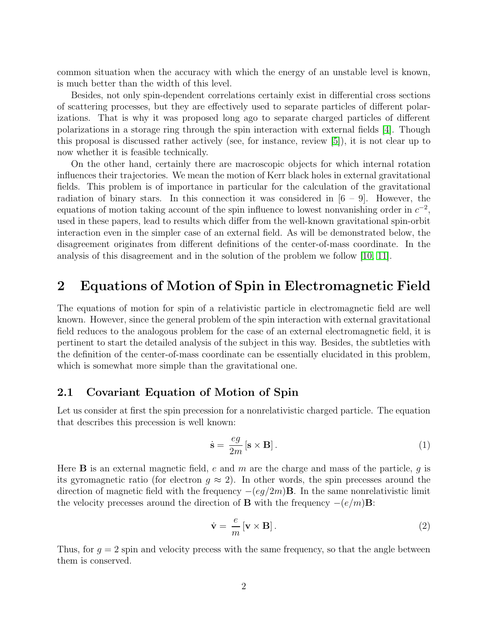common situation when the accuracy with which the energy of an unstable level is known, is much better than the width of this level.

Besides, not only spin-dependent correlations certainly exist in differential cross sections of scattering processes, but they are effectively used to separate particles of different polarizations. That is why it was proposed long ago to separate charged particles of different polarizations in a storage ring through the spin interaction with external fields [\[4\]](#page-14-3). Though this proposal is discussed rather actively (see, for instance, review [\[5\]](#page-14-4)), it is not clear up to now whether it is feasible technically.

On the other hand, certainly there are macroscopic objects for which internal rotation influences their trajectories. We mean the motion of Kerr black holes in external gravitational fields. This problem is of importance in particular for the calculation of the gravitational radiation of binary stars. In this connection it was considered in  $[6 - 9]$ . However, the equations of motion taking account of the spin influence to lowest nonvanishing order in  $c^{-2}$ , used in these papers, lead to results which differ from the well-known gravitational spin-orbit interaction even in the simpler case of an external field. As will be demonstrated below, the disagreement originates from different definitions of the center-of-mass coordinate. In the analysis of this disagreement and in the solution of the problem we follow [\[10,](#page-14-5) [11\]](#page-14-6).

## 2 Equations of Motion of Spin in Electromagnetic Field

The equations of motion for spin of a relativistic particle in electromagnetic field are well known. However, since the general problem of the spin interaction with external gravitational field reduces to the analogous problem for the case of an external electromagnetic field, it is pertinent to start the detailed analysis of the subject in this way. Besides, the subtleties with the definition of the center-of-mass coordinate can be essentially elucidated in this problem, which is somewhat more simple than the gravitational one.

#### 2.1 Covariant Equation of Motion of Spin

Let us consider at first the spin precession for a nonrelativistic charged particle. The equation that describes this precession is well known:

<span id="page-1-0"></span>
$$
\dot{\mathbf{s}} = \frac{eg}{2m} \left[ \mathbf{s} \times \mathbf{B} \right]. \tag{1}
$$

Here **B** is an external magnetic field, e and m are the charge and mass of the particle, q is its gyromagnetic ratio (for electron  $g \approx 2$ ). In other words, the spin precesses around the direction of magnetic field with the frequency  $-(eg/2m)\mathbf{B}$ . In the same nonrelativistic limit the velocity precesses around the direction of **B** with the frequency  $-(e/m)B$ :

<span id="page-1-1"></span>
$$
\dot{\mathbf{v}} = \frac{e}{m} \left[ \mathbf{v} \times \mathbf{B} \right]. \tag{2}
$$

Thus, for  $q = 2$  spin and velocity precess with the same frequency, so that the angle between them is conserved.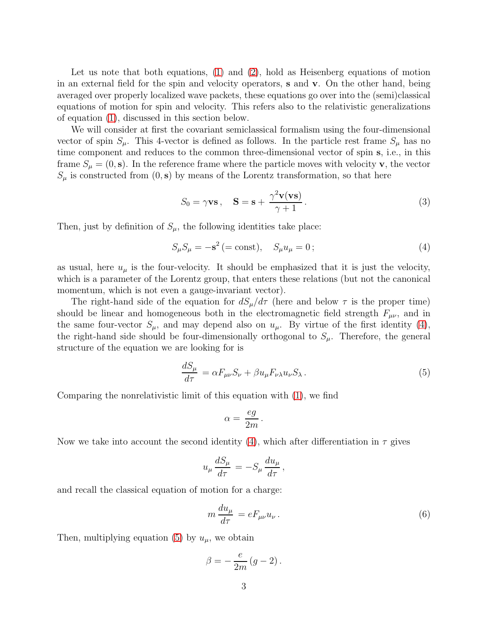Let us note that both equations, [\(1\)](#page-1-0) and [\(2\)](#page-1-1), hold as Heisenberg equations of motion in an external field for the spin and velocity operators, s and v. On the other hand, being averaged over properly localized wave packets, these equations go over into the (semi)classical equations of motion for spin and velocity. This refers also to the relativistic generalizations of equation [\(1\)](#page-1-0), discussed in this section below.

We will consider at first the covariant semiclassical formalism using the four-dimensional vector of spin  $S_{\mu}$ . This 4-vector is defined as follows. In the particle rest frame  $S_{\mu}$  has no time component and reduces to the common three-dimensional vector of spin s, i.e., in this frame  $S_{\mu} = (0, \mathbf{s})$ . In the reference frame where the particle moves with velocity **v**, the vector  $S_{\mu}$  is constructed from  $(0, s)$  by means of the Lorentz transformation, so that here

<span id="page-2-2"></span>
$$
S_0 = \gamma \mathbf{vs}, \quad \mathbf{S} = \mathbf{s} + \frac{\gamma^2 \mathbf{v}(\mathbf{vs})}{\gamma + 1}.
$$
 (3)

Then, just by definition of  $S_{\mu}$ , the following identities take place:

<span id="page-2-0"></span>
$$
S_{\mu}S_{\mu} = -\mathbf{s}^{2} \, (= \text{const}), \quad S_{\mu}u_{\mu} = 0 \, ; \tag{4}
$$

as usual, here  $u_{\mu}$  is the four-velocity. It should be emphasized that it is just the velocity, which is a parameter of the Lorentz group, that enters these relations (but not the canonical momentum, which is not even a gauge-invariant vector).

The right-hand side of the equation for  $dS_{\mu}/d\tau$  (here and below  $\tau$  is the proper time) should be linear and homogeneous both in the electromagnetic field strength  $F_{\mu\nu}$ , and in the same four-vector  $S_{\mu}$ , and may depend also on  $u_{\mu}$ . By virtue of the first identity [\(4\)](#page-2-0), the right-hand side should be four-dimensionally orthogonal to  $S_{\mu}$ . Therefore, the general structure of the equation we are looking for is

<span id="page-2-1"></span>
$$
\frac{dS_{\mu}}{d\tau} = \alpha F_{\mu\nu} S_{\nu} + \beta u_{\mu} F_{\nu\lambda} u_{\nu} S_{\lambda} \,. \tag{5}
$$

Comparing the nonrelativistic limit of this equation with [\(1\)](#page-1-0), we find

$$
\alpha = \frac{eg}{2m}.
$$

Now we take into account the second identity [\(4\)](#page-2-0), which after differentiation in  $\tau$  gives

$$
u_{\mu} \frac{dS_{\mu}}{d\tau} = -S_{\mu} \frac{du_{\mu}}{d\tau},
$$

and recall the classical equation of motion for a charge:

<span id="page-2-3"></span>
$$
m\frac{du_{\mu}}{d\tau} = eF_{\mu\nu}u_{\nu}.
$$
\n(6)

Then, multiplying equation [\(5\)](#page-2-1) by  $u_{\mu}$ , we obtain

$$
\beta = -\frac{e}{2m}(g-2).
$$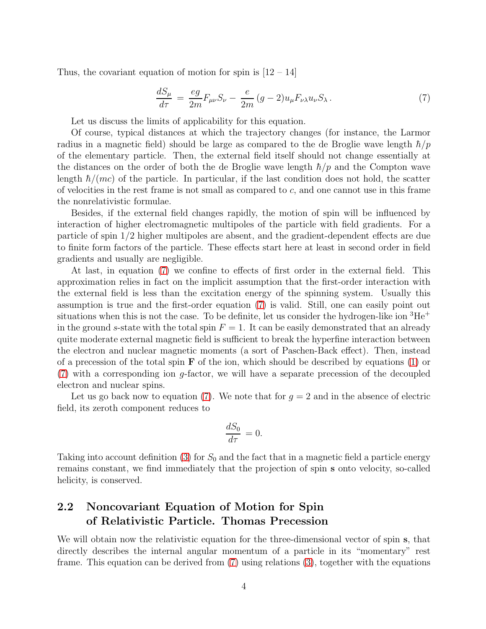Thus, the covariant equation of motion for spin is  $[12 - 14]$ 

<span id="page-3-0"></span>
$$
\frac{dS_{\mu}}{d\tau} = \frac{eg}{2m}F_{\mu\nu}S_{\nu} - \frac{e}{2m}(g-2)u_{\mu}F_{\nu\lambda}u_{\nu}S_{\lambda}.
$$
\n(7)

Let us discuss the limits of applicability for this equation.

Of course, typical distances at which the trajectory changes (for instance, the Larmor radius in a magnetic field) should be large as compared to the de Broglie wave length  $\hbar/p$ of the elementary particle. Then, the external field itself should not change essentially at the distances on the order of both the de Broglie wave length  $\hbar/p$  and the Compton wave length  $\hbar/(mc)$  of the particle. In particular, if the last condition does not hold, the scatter of velocities in the rest frame is not small as compared to  $c$ , and one cannot use in this frame the nonrelativistic formulae.

Besides, if the external field changes rapidly, the motion of spin will be influenced by interaction of higher electromagnetic multipoles of the particle with field gradients. For a particle of spin 1/2 higher multipoles are absent, and the gradient-dependent effects are due to finite form factors of the particle. These effects start here at least in second order in field gradients and usually are negligible.

At last, in equation [\(7\)](#page-3-0) we confine to effects of first order in the external field. This approximation relies in fact on the implicit assumption that the first-order interaction with the external field is less than the excitation energy of the spinning system. Usually this assumption is true and the first-order equation [\(7\)](#page-3-0) is valid. Still, one can easily point out situations when this is not the case. To be definite, let us consider the hydrogen-like ion  ${}^{3}He^{+}$ in the ground s-state with the total spin  $F = 1$ . It can be easily demonstrated that an already quite moderate external magnetic field is sufficient to break the hyperfine interaction between the electron and nuclear magnetic moments (a sort of Paschen-Back effect). Then, instead of a precession of the total spin  $\bf{F}$  of the ion, which should be described by equations [\(1\)](#page-1-0) or [\(7\)](#page-3-0) with a corresponding ion g-factor, we will have a separate precession of the decoupled electron and nuclear spins.

Let us go back now to equation [\(7\)](#page-3-0). We note that for  $g = 2$  and in the absence of electric field, its zeroth component reduces to

$$
\frac{dS_0}{d\tau} = 0.
$$

Taking into account definition [\(3\)](#page-2-2) for  $S_0$  and the fact that in a magnetic field a particle energy remains constant, we find immediately that the projection of spin s onto velocity, so-called helicity, is conserved.

## 2.2 Noncovariant Equation of Motion for Spin of Relativistic Particle. Thomas Precession

We will obtain now the relativistic equation for the three-dimensional vector of spin s, that directly describes the internal angular momentum of a particle in its "momentary" rest frame. This equation can be derived from [\(7\)](#page-3-0) using relations [\(3\)](#page-2-2), together with the equations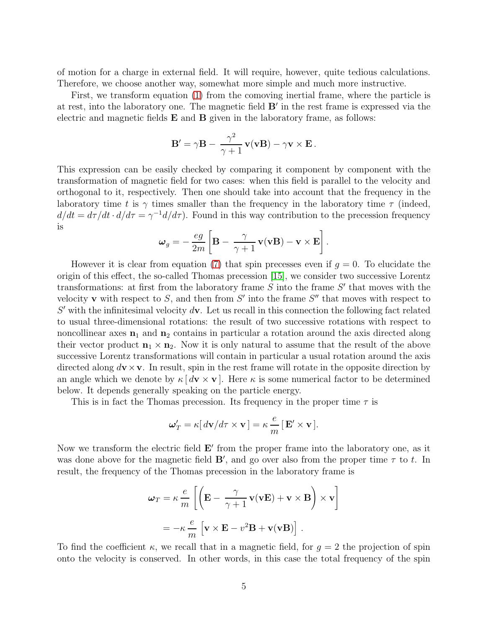of motion for a charge in external field. It will require, however, quite tedious calculations. Therefore, we choose another way, somewhat more simple and much more instructive.

First, we transform equation [\(1\)](#page-1-0) from the comoving inertial frame, where the particle is at rest, into the laboratory one. The magnetic field B′ in the rest frame is expressed via the electric and magnetic fields  $E$  and  $B$  given in the laboratory frame, as follows:

$$
\mathbf{B}' = \gamma \mathbf{B} - \frac{\gamma^2}{\gamma + 1} \mathbf{v}(\mathbf{v} \mathbf{B}) - \gamma \mathbf{v} \times \mathbf{E}.
$$

This expression can be easily checked by comparing it component by component with the transformation of magnetic field for two cases: when this field is parallel to the velocity and orthogonal to it, respectively. Then one should take into account that the frequency in the laboratory time t is  $\gamma$  times smaller than the frequency in the laboratory time  $\tau$  (indeed,  $d/dt = d\tau/dt \cdot d/d\tau = \gamma^{-1} d/d\tau$ . Found in this way contribution to the precession frequency is

$$
\boldsymbol{\omega}_g = -\frac{eg}{2m} \left[ \mathbf{B} - \frac{\gamma}{\gamma+1} \mathbf{v}(\mathbf{v} \mathbf{B}) - \mathbf{v} \times \mathbf{E} \right].
$$

However it is clear from equation [\(7\)](#page-3-0) that spin precesses even if  $g = 0$ . To elucidate the origin of this effect, the so-called Thomas precession [\[15\]](#page-15-0), we consider two successive Lorentz transformations: at first from the laboratory frame  $S$  into the frame  $S'$  that moves with the velocity **v** with respect to  $S$ , and then from  $S'$  into the frame  $S''$  that moves with respect to  $S'$  with the infinitesimal velocity  $d\mathbf{v}$ . Let us recall in this connection the following fact related to usual three-dimensional rotations: the result of two successive rotations with respect to noncollinear axes  $n_1$  and  $n_2$  contains in particular a rotation around the axis directed along their vector product  $\mathbf{n}_1 \times \mathbf{n}_2$ . Now it is only natural to assume that the result of the above successive Lorentz transformations will contain in particular a usual rotation around the axis directed along  $d\mathbf{v} \times \mathbf{v}$ . In result, spin in the rest frame will rotate in the opposite direction by an angle which we denote by  $\kappa [d\mathbf{v} \times \mathbf{v}]$ . Here  $\kappa$  is some numerical factor to be determined below. It depends generally speaking on the particle energy.

This is in fact the Thomas precession. Its frequency in the proper time  $\tau$  is

$$
\mathbf{\omega}_T' = \kappa [\, d\mathbf{v} / d\tau \times \mathbf{v} \,] = \kappa \, \frac{e}{m} \, [ \, \mathbf{E}' \times \mathbf{v} \,].
$$

Now we transform the electric field  $E'$  from the proper frame into the laboratory one, as it was done above for the magnetic field  $\mathbf{B}'$ , and go over also from the proper time  $\tau$  to t. In result, the frequency of the Thomas precession in the laboratory frame is

$$
\omega_T = \kappa \frac{e}{m} \left[ \left( \mathbf{E} - \frac{\gamma}{\gamma + 1} \mathbf{v}(\mathbf{v} \mathbf{E}) + \mathbf{v} \times \mathbf{B} \right) \times \mathbf{v} \right]
$$

$$
= -\kappa \frac{e}{m} \left[ \mathbf{v} \times \mathbf{E} - v^2 \mathbf{B} + \mathbf{v}(\mathbf{v} \mathbf{B}) \right].
$$

To find the coefficient  $\kappa$ , we recall that in a magnetic field, for  $g = 2$  the projection of spin onto the velocity is conserved. In other words, in this case the total frequency of the spin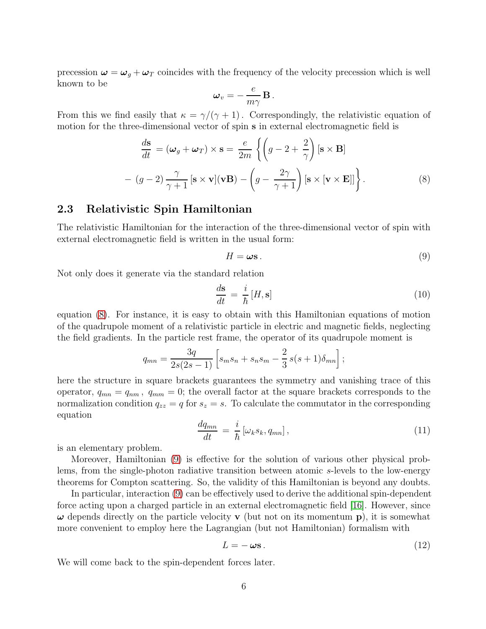precession  $\omega = \omega_g + \omega_T$  coincides with the frequency of the velocity precession which is well known to be

$$
\boldsymbol{\omega}_v = -\,\frac{e}{m\gamma}\,\mathbf{B}\,.
$$

From this we find easily that  $\kappa = \gamma/(\gamma + 1)$ . Correspondingly, the relativistic equation of motion for the three-dimensional vector of spin s in external electromagnetic field is

<span id="page-5-0"></span>
$$
\frac{d\mathbf{s}}{dt} = (\boldsymbol{\omega}_g + \boldsymbol{\omega}_T) \times \mathbf{s} = \frac{e}{2m} \left\{ \left( g - 2 + \frac{2}{\gamma} \right) [\mathbf{s} \times \mathbf{B}] \right\}
$$

$$
- (g - 2) \frac{\gamma}{\gamma + 1} [\mathbf{s} \times \mathbf{v}] (\mathbf{v} \mathbf{B}) - \left( g - \frac{2\gamma}{\gamma + 1} \right) [\mathbf{s} \times [\mathbf{v} \times \mathbf{E}]] \right\}.
$$
(8)

### 2.3 Relativistic Spin Hamiltonian

The relativistic Hamiltonian for the interaction of the three-dimensional vector of spin with external electromagnetic field is written in the usual form:

<span id="page-5-1"></span>
$$
H = \boldsymbol{\omega} \mathbf{s} \,. \tag{9}
$$

Not only does it generate via the standard relation

$$
\frac{d\mathbf{s}}{dt} = \frac{i}{\hbar} [H, \mathbf{s}] \tag{10}
$$

equation [\(8\)](#page-5-0). For instance, it is easy to obtain with this Hamiltonian equations of motion of the quadrupole moment of a relativistic particle in electric and magnetic fields, neglecting the field gradients. In the particle rest frame, the operator of its quadrupole moment is

$$
q_{mn} = \frac{3q}{2s(2s-1)} \left[ s_m s_n + s_n s_m - \frac{2}{3} s(s+1) \delta_{mn} \right];
$$

here the structure in square brackets guarantees the symmetry and vanishing trace of this operator,  $q_{mn} = q_{nm}$ ,  $q_{mm} = 0$ ; the overall factor at the square brackets corresponds to the normalization condition  $q_{zz} = q$  for  $s_z = s$ . To calculate the commutator in the corresponding equation

$$
\frac{dq_{mn}}{dt} = \frac{i}{\hbar} \left[ \omega_k s_k, q_{mn} \right],\tag{11}
$$

is an elementary problem.

Moreover, Hamiltonian [\(9\)](#page-5-1) is effective for the solution of various other physical problems, from the single-photon radiative transition between atomic s-levels to the low-energy theorems for Compton scattering. So, the validity of this Hamiltonian is beyond any doubts.

In particular, interaction [\(9\)](#page-5-1) can be effectively used to derive the additional spin-dependent force acting upon a charged particle in an external electromagnetic field [\[16\]](#page-15-1). However, since  $\omega$  depends directly on the particle velocity **v** (but not on its momentum **p**), it is somewhat more convenient to employ here the Lagrangian (but not Hamiltonian) formalism with

<span id="page-5-2"></span>
$$
L = -\omega s. \tag{12}
$$

We will come back to the spin-dependent forces later.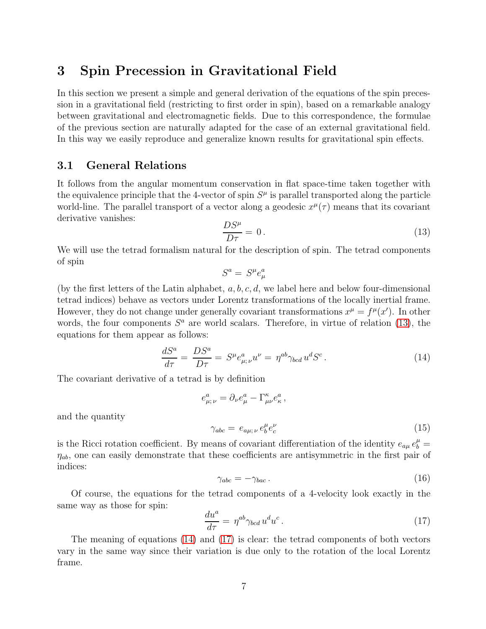## 3 Spin Precession in Gravitational Field

In this section we present a simple and general derivation of the equations of the spin precession in a gravitational field (restricting to first order in spin), based on a remarkable analogy between gravitational and electromagnetic fields. Due to this correspondence, the formulae of the previous section are naturally adapted for the case of an external gravitational field. In this way we easily reproduce and generalize known results for gravitational spin effects.

### 3.1 General Relations

It follows from the angular momentum conservation in flat space-time taken together with the equivalence principle that the 4-vector of spin  $S<sup>\mu</sup>$  is parallel transported along the particle world-line. The parallel transport of a vector along a geodesic  $x^{\mu}(\tau)$  means that its covariant derivative vanishes:

<span id="page-6-0"></span>
$$
\frac{DS^{\mu}}{D\tau} = 0. \tag{13}
$$

We will use the tetrad formalism natural for the description of spin. The tetrad components of spin

$$
S^a = S^\mu e^a_\mu
$$

(by the first letters of the Latin alphabet,  $a, b, c, d$ , we label here and below four-dimensional tetrad indices) behave as vectors under Lorentz transformations of the locally inertial frame. However, they do not change under generally covariant transformations  $x^{\mu} = f^{\mu}(x')$ . In other words, the four components  $S^a$  are world scalars. Therefore, in virtue of relation [\(13\)](#page-6-0), the equations for them appear as follows:

<span id="page-6-1"></span>
$$
\frac{dS^a}{d\tau} = \frac{DS^a}{D\tau} = S^\mu e^a_{\mu;\nu} u^\nu = \eta^{ab} \gamma_{bcd} u^d S^c. \tag{14}
$$

The covariant derivative of a tetrad is by definition

$$
e^a_{\mu;\,\nu} = \partial_\nu e^a_\mu - \Gamma^\kappa_{\mu\nu} e^a_\kappa\,,
$$

and the quantity

$$
\gamma_{abc} = e_{a\mu;\nu} e_b^{\mu} e_c^{\nu} \tag{15}
$$

is the Ricci rotation coefficient. By means of covariant differentiation of the identity  $e_{a\mu} e_b^{\mu} =$  $\eta_{ab}$ , one can easily demonstrate that these coefficients are antisymmetric in the first pair of indices:

$$
\gamma_{abc} = -\gamma_{bac} \,. \tag{16}
$$

Of course, the equations for the tetrad components of a 4-velocity look exactly in the same way as those for spin:

<span id="page-6-2"></span>
$$
\frac{du^a}{d\tau} = \eta^{ab}\gamma_{bcd}u^du^c.
$$
\n(17)

The meaning of equations [\(14\)](#page-6-1) and [\(17\)](#page-6-2) is clear: the tetrad components of both vectors vary in the same way since their variation is due only to the rotation of the local Lorentz frame.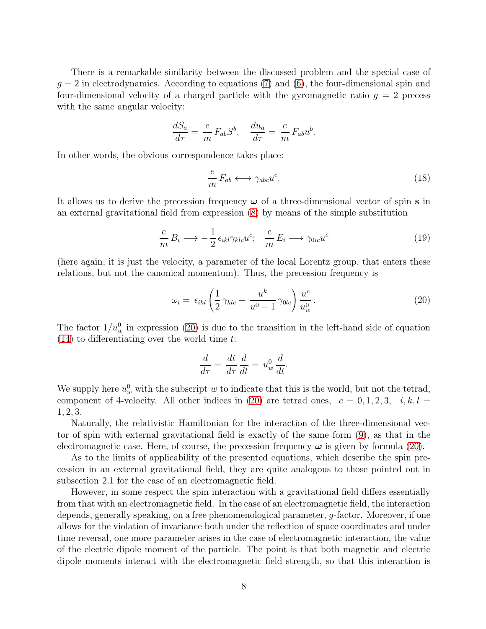There is a remarkable similarity between the discussed problem and the special case of  $q = 2$  in electrodynamics. According to equations [\(7\)](#page-3-0) and [\(6\)](#page-2-3), the four-dimensional spin and four-dimensional velocity of a charged particle with the gyromagnetic ratio  $q = 2$  precess with the same angular velocity:

$$
\frac{dS_a}{d\tau} = \frac{e}{m} F_{ab} S^b, \quad \frac{du_a}{d\tau} = \frac{e}{m} F_{ab} u^b.
$$

In other words, the obvious correspondence takes place:

$$
\frac{e}{m} F_{ab} \longleftrightarrow \gamma_{abc} u^c. \tag{18}
$$

It allows us to derive the precession frequency  $\omega$  of a three-dimensional vector of spin **s** in an external gravitational field from expression [\(8\)](#page-5-0) by means of the simple substitution

$$
\frac{e}{m} B_i \longrightarrow -\frac{1}{2} \epsilon_{ikl} \gamma_{klc} u^c; \quad \frac{e}{m} E_i \longrightarrow \gamma_{0ic} u^c \tag{19}
$$

(here again, it is just the velocity, a parameter of the local Lorentz group, that enters these relations, but not the canonical momentum). Thus, the precession frequency is

<span id="page-7-0"></span>
$$
\omega_i = \epsilon_{ikl} \left( \frac{1}{2} \gamma_{klc} + \frac{u^k}{u^0 + 1} \gamma_{0lc} \right) \frac{u^c}{u^0_w} . \tag{20}
$$

The factor  $1/u_w^0$  in expression [\(20\)](#page-7-0) is due to the transition in the left-hand side of equation  $(14)$  to differentiating over the world time t:

$$
\frac{d}{d\tau} = \frac{dt}{d\tau}\frac{d}{dt} = u_w^0 \frac{d}{dt}.
$$

We supply here  $u_w^0$  with the subscript w to indicate that this is the world, but not the tetrad, component of 4-velocity. All other indices in [\(20\)](#page-7-0) are tetrad ones,  $c = 0, 1, 2, 3, i, k, l =$ 1, 2, 3.

Naturally, the relativistic Hamiltonian for the interaction of the three-dimensional vector of spin with external gravitational field is exactly of the same form [\(9\)](#page-5-1), as that in the electromagnetic case. Here, of course, the precession frequency  $\omega$  is given by formula [\(20\)](#page-7-0).

As to the limits of applicability of the presented equations, which describe the spin precession in an external gravitational field, they are quite analogous to those pointed out in subsection 2.1 for the case of an electromagnetic field.

However, in some respect the spin interaction with a gravitational field differs essentially from that with an electromagnetic field. In the case of an electromagnetic field, the interaction depends, generally speaking, on a free phenomenological parameter, g-factor. Moreover, if one allows for the violation of invariance both under the reflection of space coordinates and under time reversal, one more parameter arises in the case of electromagnetic interaction, the value of the electric dipole moment of the particle. The point is that both magnetic and electric dipole moments interact with the electromagnetic field strength, so that this interaction is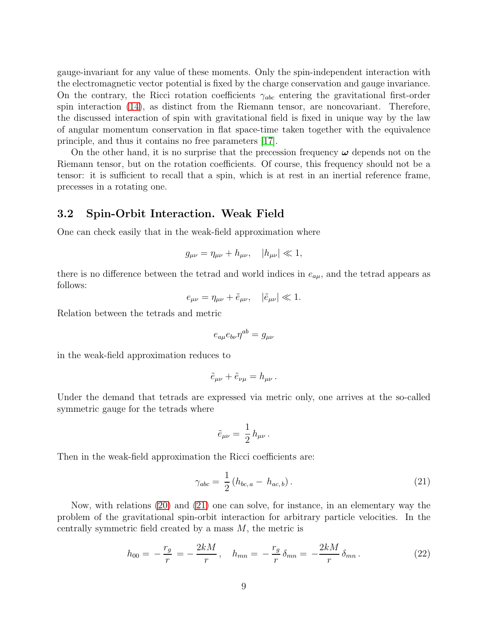gauge-invariant for any value of these moments. Only the spin-independent interaction with the electromagnetic vector potential is fixed by the charge conservation and gauge invariance. On the contrary, the Ricci rotation coefficients  $\gamma_{abc}$  entering the gravitational first-order spin interaction [\(14\)](#page-6-1), as distinct from the Riemann tensor, are noncovariant. Therefore, the discussed interaction of spin with gravitational field is fixed in unique way by the law of angular momentum conservation in flat space-time taken together with the equivalence principle, and thus it contains no free parameters [\[17\]](#page-15-2).

On the other hand, it is no surprise that the precession frequency  $\omega$  depends not on the Riemann tensor, but on the rotation coefficients. Of course, this frequency should not be a tensor: it is sufficient to recall that a spin, which is at rest in an inertial reference frame, precesses in a rotating one.

#### 3.2 Spin-Orbit Interaction. Weak Field

One can check easily that in the weak-field approximation where

$$
g_{\mu\nu} = \eta_{\mu\nu} + h_{\mu\nu}, \quad |h_{\mu\nu}| \ll 1,
$$

there is no difference between the tetrad and world indices in  $e_{a\mu}$ , and the tetrad appears as follows:

$$
e_{\mu\nu} = \eta_{\mu\nu} + \tilde{e}_{\mu\nu}, \quad |\tilde{e}_{\mu\nu}| \ll 1.
$$

Relation between the tetrads and metric

$$
e_{a\mu}e_{b\nu}\eta^{ab}=g_{\mu\nu}
$$

in the weak-field approximation reduces to

$$
\tilde{e}_{\mu\nu} + \tilde{e}_{\nu\mu} = h_{\mu\nu} \, .
$$

Under the demand that tetrads are expressed via metric only, one arrives at the so-called symmetric gauge for the tetrads where

$$
\tilde{e}_{\mu\nu} = \frac{1}{2} h_{\mu\nu} .
$$

Then in the weak-field approximation the Ricci coefficients are:

<span id="page-8-0"></span>
$$
\gamma_{abc} = \frac{1}{2} (h_{bc,a} - h_{ac,b}). \tag{21}
$$

Now, with relations [\(20\)](#page-7-0) and [\(21\)](#page-8-0) one can solve, for instance, in an elementary way the problem of the gravitational spin-orbit interaction for arbitrary particle velocities. In the centrally symmetric field created by a mass  $M$ , the metric is

$$
h_{00} = -\frac{r_g}{r} = -\frac{2kM}{r}, \quad h_{mn} = -\frac{r_g}{r}\delta_{mn} = -\frac{2kM}{r}\delta_{mn}.
$$
 (22)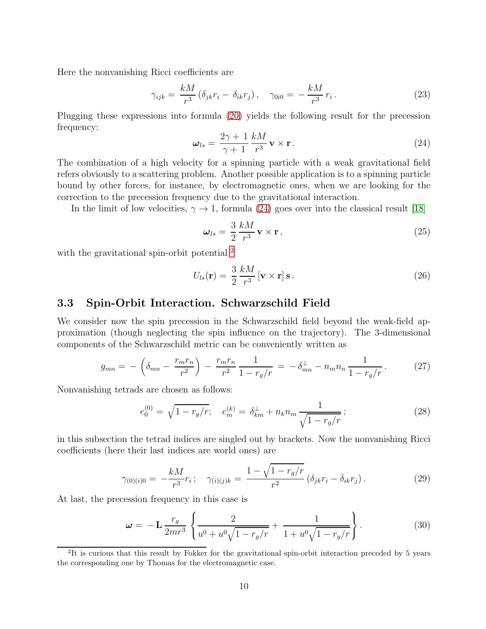Here the nonvanishing Ricci coefficients are

$$
\gamma_{ijk} = \frac{kM}{r^3} \left( \delta_{jk} r_i - \delta_{ik} r_j \right), \quad \gamma_{0i0} = -\frac{kM}{r^3} r_i. \tag{23}
$$

Plugging these expressions into formula [\(20\)](#page-7-0) yields the following result for the precession frequency:

<span id="page-9-0"></span>
$$
\omega_{ls} = \frac{2\gamma + 1}{\gamma + 1} \frac{kM}{r^3} \mathbf{v} \times \mathbf{r} \,. \tag{24}
$$

The combination of a high velocity for a spinning particle with a weak gravitational field refers obviously to a scattering problem. Another possible application is to a spinning particle bound by other forces, for instance, by electromagnetic ones, when we are looking for the correction to the precession frequency due to the gravitational interaction.

In the limit of low velocities,  $\gamma \rightarrow 1$ , formula [\(24\)](#page-9-0) goes over into the classical result [\[18\]](#page-15-3)

$$
\omega_{ls} = \frac{3}{2} \frac{kM}{r^3} \mathbf{v} \times \mathbf{r},\qquad(25)
$$

with the gravitational spin-orbit potential <sup>[2](#page-9-1)</sup>

<span id="page-9-3"></span>
$$
U_{ls}(\mathbf{r}) = \frac{3}{2} \frac{kM}{r^3} [\mathbf{v} \times \mathbf{r}] \,\mathbf{s} \,. \tag{26}
$$

#### 3.3 Spin-Orbit Interaction. Schwarzschild Field

We consider now the spin precession in the Schwarzschild field beyond the weak-field approximation (though neglecting the spin influence on the trajectory). The 3-dimensional components of the Schwarzschild metric can be conveniently written as

$$
g_{mn} = -\left(\delta_{mn} - \frac{r_m r_n}{r^2}\right) - \frac{r_m r_n}{r^2} \frac{1}{1 - r_g/r} = -\delta_{mn}^{\perp} - n_m n_n \frac{1}{1 - r_g/r}.
$$
 (27)

Nonvanishing tetrads are chosen as follows:

$$
e_0^{(0)} = \sqrt{1 - r_g/r}; \quad e_m^{(k)} = \delta_{km}^{\perp} + n_k n_m \frac{1}{\sqrt{1 - r_g/r}}; \tag{28}
$$

in this subsection the tetrad indices are singled out by brackets. Now the nonvanishing Ricci coefficients (here their last indices are world ones) are

$$
\gamma_{(0)(i)0} = -\frac{kM}{r^3}r_i; \quad \gamma_{(i)(j)k} = \frac{1 - \sqrt{1 - r_g/r}}{r^2} (\delta_{jk}r_i - \delta_{ik}r_j).
$$
 (29)

At last, the precession frequency in this case is

<span id="page-9-2"></span>
$$
\omega = -\mathbf{L} \frac{r_g}{2mr^3} \left\{ \frac{2}{u^0 + u^0 \sqrt{1 - r_g/r}} + \frac{1}{1 + u^0 \sqrt{1 - r_g/r}} \right\}.
$$
 (30)

<span id="page-9-1"></span><sup>&</sup>lt;sup>2</sup>It is curious that this result by Fokker for the gravitational spin-orbit interaction preceded by 5 years the corresponding one by Thomas for the electromagnetic case.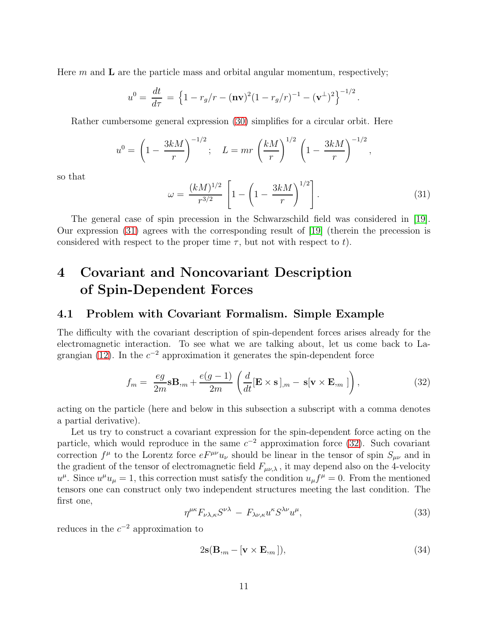Here  $m$  and  $\bf{L}$  are the particle mass and orbital angular momentum, respectively;

$$
u^{0} = \frac{dt}{d\tau} = \left\{1 - r_{g}/r - (\mathbf{nv})^{2}(1 - r_{g}/r)^{-1} - (\mathbf{v}^{\perp})^{2}\right\}^{-1/2}.
$$

Rather cumbersome general expression [\(30\)](#page-9-2) simplifies for a circular orbit. Here

$$
u^{0} = \left(1 - \frac{3kM}{r}\right)^{-1/2}; \quad L = mr \left(\frac{kM}{r}\right)^{1/2} \left(1 - \frac{3kM}{r}\right)^{-1/2},
$$

so that

<span id="page-10-0"></span>
$$
\omega = \frac{(kM)^{1/2}}{r^{3/2}} \left[ 1 - \left( 1 - \frac{3kM}{r} \right)^{1/2} \right]. \tag{31}
$$

The general case of spin precession in the Schwarzschild field was considered in [\[19\]](#page-15-4). Our expression [\(31\)](#page-10-0) agrees with the corresponding result of [\[19\]](#page-15-4) (therein the precession is considered with respect to the proper time  $\tau$ , but not with respect to t).

# 4 Covariant and Noncovariant Description of Spin-Dependent Forces

#### 4.1 Problem with Covariant Formalism. Simple Example

The difficulty with the covariant description of spin-dependent forces arises already for the electromagnetic interaction. To see what we are talking about, let us come back to La-grangian [\(12\)](#page-5-2). In the  $c^{-2}$  approximation it generates the spin-dependent force

<span id="page-10-1"></span>
$$
f_m = \frac{eg}{2m} \mathbf{s} \mathbf{B}_{,m} + \frac{e(g-1)}{2m} \left( \frac{d}{dt} [\mathbf{E} \times \mathbf{s}]_{,m} - \mathbf{s} [\mathbf{v} \times \mathbf{E}_{,m} ] \right), \tag{32}
$$

acting on the particle (here and below in this subsection a subscript with a comma denotes a partial derivative).

Let us try to construct a covariant expression for the spin-dependent force acting on the particle, which would reproduce in the same  $c^{-2}$  approximation force [\(32\)](#page-10-1). Such covariant correction  $f^{\mu}$  to the Lorentz force  $eF^{\mu\nu}u_{\nu}$  should be linear in the tensor of spin  $S_{\mu\nu}$  and in the gradient of the tensor of electromagnetic field  $F_{\mu\nu,\lambda}$ , it may depend also on the 4-velocity  $u^{\mu}$ . Since  $u^{\mu}u_{\mu} = 1$ , this correction must satisfy the condition  $u_{\mu}f^{\mu} = 0$ . From the mentioned tensors one can construct only two independent structures meeting the last condition. The first one,

<span id="page-10-2"></span>
$$
\eta^{\mu\kappa} F_{\nu\lambda,\kappa} S^{\nu\lambda} - F_{\lambda\nu,\kappa} u^{\kappa} S^{\lambda\nu} u^{\mu},\tag{33}
$$

reduces in the  $c^{-2}$  approximation to

<span id="page-10-3"></span>
$$
2\mathbf{s}(\mathbf{B}_{,m} - [\mathbf{v} \times \mathbf{E}_{,m}]),\tag{34}
$$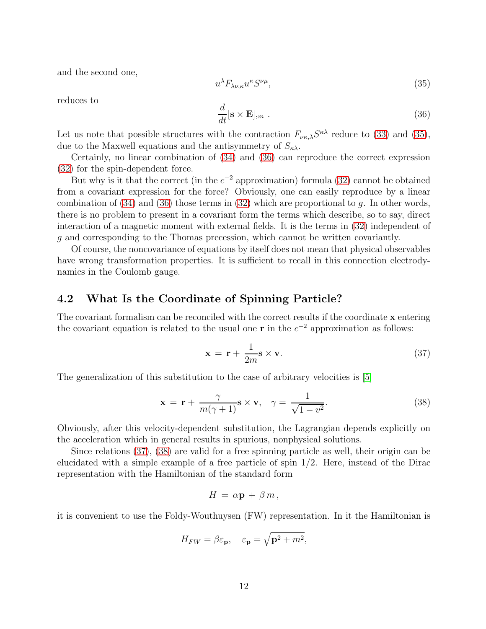and the second one,

<span id="page-11-0"></span>
$$
u^{\lambda} F_{\lambda \nu,\kappa} u^{\kappa} S^{\nu \mu},\tag{35}
$$

reduces to

<span id="page-11-1"></span>
$$
\frac{d}{dt}[\mathbf{s} \times \mathbf{E}]_{,m} \tag{36}
$$

Let us note that possible structures with the contraction  $F_{\nu\kappa\lambda}S^{\kappa\lambda}$  reduce to [\(33\)](#page-10-2) and [\(35\)](#page-11-0), due to the Maxwell equations and the antisymmetry of  $S_{\kappa\lambda}$ .

Certainly, no linear combination of [\(34\)](#page-10-3) and [\(36\)](#page-11-1) can reproduce the correct expression [\(32\)](#page-10-1) for the spin-dependent force.

But why is it that the correct (in the  $c^{-2}$  approximation) formula [\(32\)](#page-10-1) cannot be obtained from a covariant expression for the force? Obviously, one can easily reproduce by a linear combination of  $(34)$  and  $(36)$  those terms in  $(32)$  which are proportional to g. In other words, there is no problem to present in a covariant form the terms which describe, so to say, direct interaction of a magnetic moment with external fields. It is the terms in [\(32\)](#page-10-1) independent of g and corresponding to the Thomas precession, which cannot be written covariantly.

Of course, the noncovariance of equations by itself does not mean that physical observables have wrong transformation properties. It is sufficient to recall in this connection electrodynamics in the Coulomb gauge.

#### 4.2 What Is the Coordinate of Spinning Particle?

The covariant formalism can be reconciled with the correct results if the coordinate x entering the covariant equation is related to the usual one **r** in the  $c^{-2}$  approximation as follows:

<span id="page-11-2"></span>
$$
\mathbf{x} = \mathbf{r} + \frac{1}{2m} \mathbf{s} \times \mathbf{v}.
$$
 (37)

The generalization of this substitution to the case of arbitrary velocities is [\[5\]](#page-14-4)

<span id="page-11-3"></span>
$$
\mathbf{x} = \mathbf{r} + \frac{\gamma}{m(\gamma + 1)} \mathbf{s} \times \mathbf{v}, \quad \gamma = \frac{1}{\sqrt{1 - v^2}}.
$$
 (38)

Obviously, after this velocity-dependent substitution, the Lagrangian depends explicitly on the acceleration which in general results in spurious, nonphysical solutions.

Since relations [\(37\)](#page-11-2), [\(38\)](#page-11-3) are valid for a free spinning particle as well, their origin can be elucidated with a simple example of a free particle of spin 1/2. Here, instead of the Dirac representation with the Hamiltonian of the standard form

$$
H = \alpha \mathbf{p} + \beta m,
$$

it is convenient to use the Foldy-Wouthuysen (FW) representation. In it the Hamiltonian is

$$
H_{FW} = \beta \varepsilon_{\mathbf{p}}, \quad \varepsilon_{\mathbf{p}} = \sqrt{\mathbf{p}^2 + m^2},
$$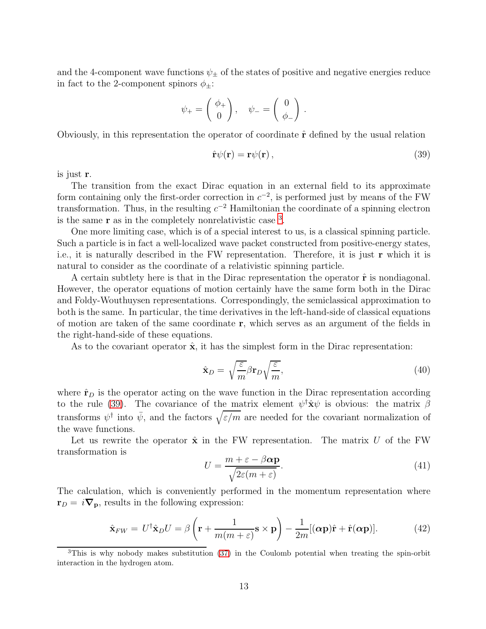and the 4-component wave functions  $\psi_{\pm}$  of the states of positive and negative energies reduce in fact to the 2-component spinors  $\phi_{\pm}$ :

$$
\psi_+ = \begin{pmatrix} \phi_+ \\ 0 \end{pmatrix}, \quad \psi_- = \begin{pmatrix} 0 \\ \phi_- \end{pmatrix}.
$$

Obviously, in this representation the operator of coordinate  $\hat{\mathbf{r}}$  defined by the usual relation

<span id="page-12-1"></span>
$$
\hat{\mathbf{r}}\psi(\mathbf{r}) = \mathbf{r}\psi(\mathbf{r})\,,\tag{39}
$$

is just r.

The transition from the exact Dirac equation in an external field to its approximate form containing only the first-order correction in  $c^{-2}$ , is performed just by means of the FW transformation. Thus, in the resulting  $c^{-2}$  Hamiltonian the coordinate of a spinning electron is the same  $\bf{r}$  as in the completely nonrelativistic case  $^3$  $^3$ .

One more limiting case, which is of a special interest to us, is a classical spinning particle. Such a particle is in fact a well-localized wave packet constructed from positive-energy states, i.e., it is naturally described in the FW representation. Therefore, it is just r which it is natural to consider as the coordinate of a relativistic spinning particle.

A certain subtlety here is that in the Dirac representation the operator  $\hat{\bf r}$  is nondiagonal. However, the operator equations of motion certainly have the same form both in the Dirac and Foldy-Wouthuysen representations. Correspondingly, the semiclassical approximation to both is the same. In particular, the time derivatives in the left-hand-side of classical equations of motion are taken of the same coordinate r, which serves as an argument of the fields in the right-hand-side of these equations.

As to the covariant operator  $\hat{\mathbf{x}}$ , it has the simplest form in the Dirac representation:

$$
\hat{\mathbf{x}}_D = \sqrt{\frac{\varepsilon}{m}} \beta \mathbf{r}_D \sqrt{\frac{\varepsilon}{m}},\tag{40}
$$

where  $\hat{\mathbf{r}}_D$  is the operator acting on the wave function in the Dirac representation according to the rule [\(39\)](#page-12-1). The covariance of the matrix element  $\psi^{\dagger} \hat{\mathbf{x}} \psi$  is obvious: the matrix  $\beta$ transforms  $\psi^{\dagger}$  into  $\bar{\psi}$ , and the factors  $\sqrt{\varepsilon/m}$  are needed for the covariant normalization of the wave functions.

Let us rewrite the operator  $\hat{\mathbf{x}}$  in the FW representation. The matrix U of the FW transformation is

$$
U = \frac{m + \varepsilon - \beta \alpha \mathbf{p}}{\sqrt{2\varepsilon(m + \varepsilon)}}.
$$
\n(41)

The calculation, which is conveniently performed in the momentum representation where  $\mathbf{r}_D = i \nabla_p$ , results in the following expression:

<span id="page-12-2"></span>
$$
\hat{\mathbf{x}}_{FW} = U^{\dagger} \hat{\mathbf{x}}_D U = \beta \left( \mathbf{r} + \frac{1}{m(m+\varepsilon)} \mathbf{s} \times \mathbf{p} \right) - \frac{1}{2m} [(\boldsymbol{\alpha} \mathbf{p}) \hat{\mathbf{r}} + \hat{\mathbf{r}} (\boldsymbol{\alpha} \mathbf{p})]. \tag{42}
$$

<span id="page-12-0"></span><sup>&</sup>lt;sup>3</sup>This is why nobody makes substitution [\(37\)](#page-11-2) in the Coulomb potential when treating the spin-orbit interaction in the hydrogen atom.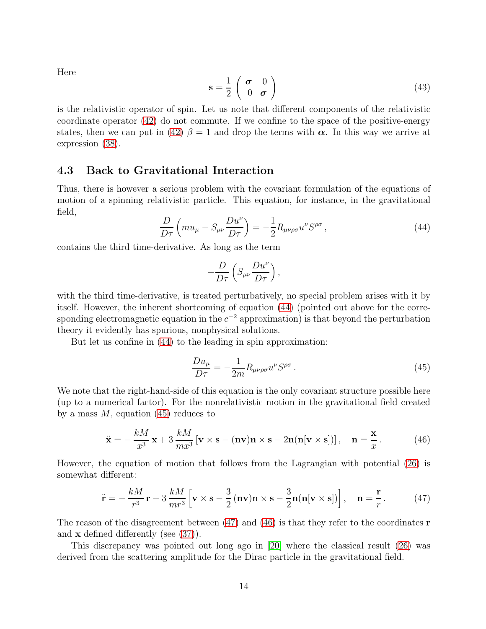Here

$$
\mathbf{s} = \frac{1}{2} \begin{pmatrix} \boldsymbol{\sigma} & 0 \\ 0 & \boldsymbol{\sigma} \end{pmatrix} \tag{43}
$$

is the relativistic operator of spin. Let us note that different components of the relativistic coordinate operator [\(42\)](#page-12-2) do not commute. If we confine to the space of the positive-energy states, then we can put in [\(42\)](#page-12-2)  $\beta = 1$  and drop the terms with  $\alpha$ . In this way we arrive at expression [\(38\)](#page-11-3).

#### 4.3 Back to Gravitational Interaction

Thus, there is however a serious problem with the covariant formulation of the equations of motion of a spinning relativistic particle. This equation, for instance, in the gravitational field,

<span id="page-13-0"></span>
$$
\frac{D}{D\tau}\left(mu_{\mu} - S_{\mu\nu}\frac{Du^{\nu}}{D\tau}\right) = -\frac{1}{2}R_{\mu\nu\rho\sigma}u^{\nu}S^{\rho\sigma},\qquad(44)
$$

contains the third time-derivative. As long as the term

$$
-\frac{D}{D\tau}\left(S_{\mu\nu}\frac{Du^{\nu}}{D\tau}\right),\,
$$

with the third time-derivative, is treated perturbatively, no special problem arises with it by itself. However, the inherent shortcoming of equation [\(44\)](#page-13-0) (pointed out above for the corresponding electromagnetic equation in the  $c^{-2}$  approximation) is that beyond the perturbation theory it evidently has spurious, nonphysical solutions.

But let us confine in [\(44\)](#page-13-0) to the leading in spin approximation:

<span id="page-13-1"></span>
$$
\frac{Du_{\mu}}{D\tau} = -\frac{1}{2m}R_{\mu\nu\rho\sigma}u^{\nu}S^{\rho\sigma}.
$$
\n(45)

We note that the right-hand-side of this equation is the only covariant structure possible here (up to a numerical factor). For the nonrelativistic motion in the gravitational field created by a mass  $M$ , equation [\(45\)](#page-13-1) reduces to

<span id="page-13-3"></span>
$$
\ddot{\mathbf{x}} = -\frac{kM}{x^3}\mathbf{x} + 3\frac{kM}{mx^3}[\mathbf{v}\times\mathbf{s} - (\mathbf{nv})\mathbf{n}\times\mathbf{s} - 2\mathbf{n}(\mathbf{n}[\mathbf{v}\times\mathbf{s}])], \quad \mathbf{n} = \frac{\mathbf{x}}{x}.
$$
 (46)

However, the equation of motion that follows from the Lagrangian with potential [\(26\)](#page-9-3) is somewhat different:

<span id="page-13-2"></span>
$$
\ddot{\mathbf{r}} = -\frac{kM}{r^3}\mathbf{r} + 3\frac{kM}{mr^3}\left[\mathbf{v}\times\mathbf{s} - \frac{3}{2}\left(\mathbf{nv}\right)\mathbf{n}\times\mathbf{s} - \frac{3}{2}\mathbf{n}\left(\mathbf{n}[\mathbf{v}\times\mathbf{s}]\right)\right], \quad \mathbf{n} = \frac{\mathbf{r}}{r}.\tag{47}
$$

The reason of the disagreement between  $(47)$  and  $(46)$  is that they refer to the coordinates **r** and x defined differently (see [\(37\)](#page-11-2)).

This discrepancy was pointed out long ago in [\[20\]](#page-15-5) where the classical result [\(26\)](#page-9-3) was derived from the scattering amplitude for the Dirac particle in the gravitational field.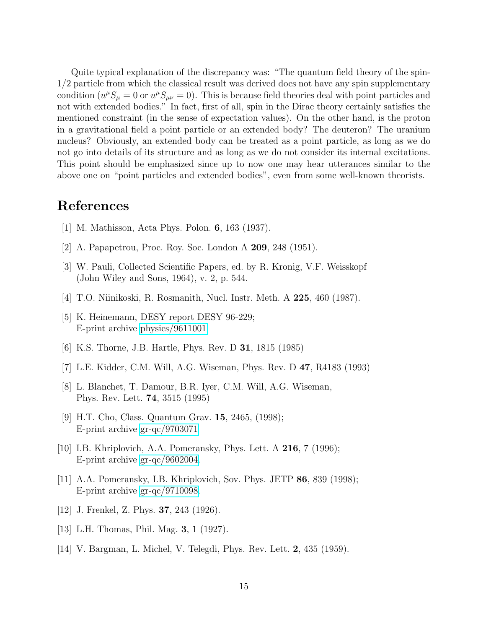Quite typical explanation of the discrepancy was: "The quantum field theory of the spin-1/2 particle from which the classical result was derived does not have any spin supplementary condition  $(u^{\mu}S_{\mu}=0)$  or  $u^{\mu}S_{\mu\nu}=0$ . This is because field theories deal with point particles and not with extended bodies." In fact, first of all, spin in the Dirac theory certainly satisfies the mentioned constraint (in the sense of expectation values). On the other hand, is the proton in a gravitational field a point particle or an extended body? The deuteron? The uranium nucleus? Obviously, an extended body can be treated as a point particle, as long as we do not go into details of its structure and as long as we do not consider its internal excitations. This point should be emphasized since up to now one may hear utterances similar to the above one on "point particles and extended bodies", even from some well-known theorists.

## <span id="page-14-0"></span>References

- <span id="page-14-1"></span>[1] M. Mathisson, Acta Phys. Polon. 6, 163 (1937).
- <span id="page-14-2"></span>[2] A. Papapetrou, Proc. Roy. Soc. London A 209, 248 (1951).
- <span id="page-14-3"></span>[3] W. Pauli, Collected Scientific Papers, ed. by R. Kronig, V.F. Weisskopf (John Wiley and Sons, 1964), v. 2, p. 544.
- <span id="page-14-4"></span>[4] T.O. Niinikoski, R. Rosmanith, Nucl. Instr. Meth. A 225, 460 (1987).
- [5] K. Heinemann, DESY report DESY 96-229; E-print archive [physics/9611001.](http://arxiv.org/abs/physics/9611001)
- [6] K.S. Thorne, J.B. Hartle, Phys. Rev. D 31, 1815 (1985)
- [7] L.E. Kidder, C.M. Will, A.G. Wiseman, Phys. Rev. D 47, R4183 (1993)
- [8] L. Blanchet, T. Damour, B.R. Iyer, C.M. Will, A.G. Wiseman, Phys. Rev. Lett. 74, 3515 (1995)
- [9] H.T. Cho, Class. Quantum Grav. 15, 2465, (1998); E-print archive [gr-qc/9703071](http://arxiv.org/abs/gr-qc/9703071)
- <span id="page-14-6"></span><span id="page-14-5"></span>[10] I.B. Khriplovich, A.A. Pomeransky, Phys. Lett. A **216**, 7 (1996); E-print archive [gr-qc/9602004.](http://arxiv.org/abs/gr-qc/9602004)
- [11] A.A. Pomeransky, I.B. Khriplovich, Sov. Phys. JETP 86, 839 (1998); E-print archive [gr-qc/9710098.](http://arxiv.org/abs/gr-qc/9710098)
- [12] J. Frenkel, Z. Phys. **37**, 243 (1926).
- [13] L.H. Thomas, Phil. Mag. **3**, 1 (1927).
- [14] V. Bargman, L. Michel, V. Telegdi, Phys. Rev. Lett. 2, 435 (1959).